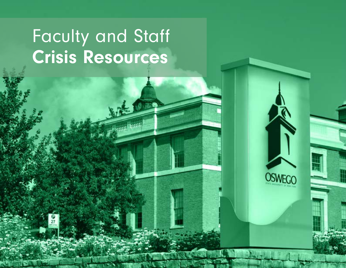## Faculty and Staff Crisis Resources

**CONTRACTOR** 

OSWEGO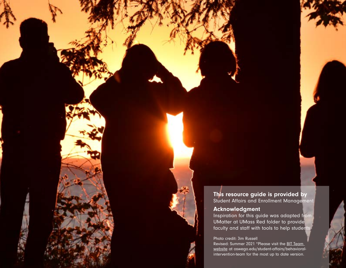### This resource guide is provided by

Student Affairs and Enrollment Management

#### Acknowledgment

Inspiration for this guide was adapted from UMatter at UMass Red folder to provide faculty and staff with tools to help students.

#### Photo credit: Jim Russell

Revised: Summer 2021 \*Please visit the [BIT Team](http://oswego.edu/student-affairs/behavioral-intervention-team)  [website](http://oswego.edu/student-affairs/behavioral-intervention-team) at oswego.edu/student-affairs/behavioralintervention-team for the most up to date version.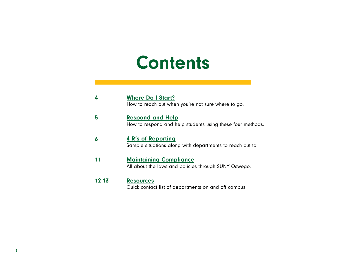### **Contents**

|           | <b>Where Do I Start?</b><br>How to reach out when you're not sure where to go.         |
|-----------|----------------------------------------------------------------------------------------|
| 5         | <b>Respond and Help</b><br>How to respond and help students using these four methods.  |
| 6         | <b>4 R's of Reporting</b><br>Sample situations along with departments to reach out to. |
| 11        | <b>Maintaining Compliance</b><br>All about the laws and policies through SUNY Oswego.  |
| $12 - 13$ | <b>Resources</b>                                                                       |

Quick contact list of departments on and off campus.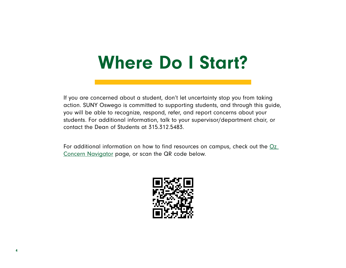### <span id="page-3-0"></span>Where Do I Start?

If you are concerned about a student, don't let uncertainty stop you from taking action. SUNY Oswego is committed to supporting students, and through this guide, you will be able to recognize, respond, refer, and report concerns about your students. For additional information, talk to your supervisor/department chair, or contact the Dean of Students at 315.312.5483.

For additional information on how to find resources on campus, check out the Oz [Concern Navigator](http://oswego.concerncenter.com) page, or scan the QR code below.

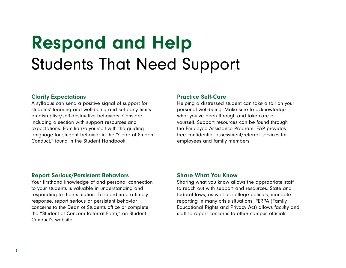## <span id="page-4-0"></span>Respond and Help Students That Need Support

#### Clarify Expectations

A syllabus can send a positive signal of support for students' learning and well-being and set early limits on disruptive/self-destructive behaviors. Consider including a section with support resources and expectations. Familiarize yourself with the guiding language for student behavior in the "Code of Student Conduct," found in the Student Handbook.

#### Practice Self-Care

Helping a distressed student can take a toll on your personal well-being. Make sure to acknowledge what you've been through and take care of yourself. Support resources can be found through the Employee Assistance Program. EAP provides free confidential assessment/referral services for employees and family members.

#### Report Serious/Persistent Behaviors

Your firsthand knowledge of and personal connection to your students is valuable in understanding and responding to their situation. To coordinate a timely response, report serious or persistent behavior concerns to the Dean of Students office or complete the "Student of Concern Referral Form," on Student Conduct's website.

#### Share What You Know

Sharing what you know allows the appropriate staff to reach out with support and resources. State and federal laws, as well as college policies, mandate reporting in many crisis situations. FERPA (Family Educational Rights and Privacy Act) allows faculty and staff to report concerns to other campus officials.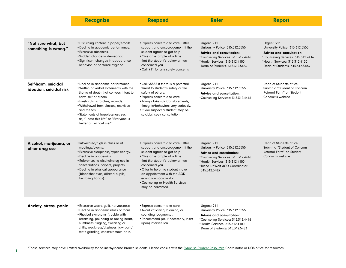<span id="page-5-0"></span>

|                                                | <b>Recognize</b>                                                                                                                                                                                                                                                                                                                                       | <b>Respond</b>                                                                                                                                                                                                                                                                                                                                | <b>Refer</b>                                                                                                                                                                                                 | <b>Report</b>                                                                                                                                                                               |
|------------------------------------------------|--------------------------------------------------------------------------------------------------------------------------------------------------------------------------------------------------------------------------------------------------------------------------------------------------------------------------------------------------------|-----------------------------------------------------------------------------------------------------------------------------------------------------------------------------------------------------------------------------------------------------------------------------------------------------------------------------------------------|--------------------------------------------------------------------------------------------------------------------------------------------------------------------------------------------------------------|---------------------------------------------------------------------------------------------------------------------------------------------------------------------------------------------|
|                                                |                                                                                                                                                                                                                                                                                                                                                        |                                                                                                                                                                                                                                                                                                                                               |                                                                                                                                                                                                              |                                                                                                                                                                                             |
| "Not sure what, but<br>something is wrong."    | . Disturbing content in paper/emails.<br>· Decline in academic performance.<br>• Excessive absences.<br>·Sudden change in demeanor.<br>· Significant changes in appearance,<br>behavior, or personal hygiene.                                                                                                                                          | • Express concern and care. Offer<br>support and encouragement if the<br>student agrees to get help.<br>• Give an example of a time<br>that the student's behavior has<br>concerned you.<br>• Call 911 for any safety concerns.                                                                                                               | Urgent: 911<br>University Police: 315.312.5555<br><b>Advice and consultation:</b><br>*Counseling Services: 315.312.4416<br>*Health Services: 315.312.4100<br>Dean of Students: 315.312.5483                  | Urgent: 911<br>University Police: 315.312.5555<br><b>Advice and consultation:</b><br>*Counseling Services: 315.312.4416<br>*Health Services: 315.312.4100<br>Dean of Students: 315.312.5483 |
| Self-harm, suicidal<br>ideation, suicidal risk | • Decline in academic performance.<br>. Written or verbal statements with the<br>theme of death that conveys intent to<br>harm self or others.<br>• Fresh cuts, scratches, wounds.<br>. Withdrawal from classes, activities,<br>and friends.<br>• Statements of hopelessness such<br>as, "I hate this life" or "Everyone is<br>better off without me." | . Call x5555 if there is a potential<br>threat to student's safety or the<br>safety of others.<br>· Express concern and care.<br>• Always take suicidal statements,<br>thoughts/behaviors very seriously.<br>. If you suspect a student may be<br>suicidal, seek consultation.                                                                | Urgent: 911<br>University Police: 315.312.5555<br><b>Advice and consultation:</b><br>*Counseling Services: 315.312.4416                                                                                      | Dean of Students office:<br>Submit a "Student of Concern"<br>Referral Form" on Student<br>Conduct's website                                                                                 |
| Alcohol, marijuana, or<br>other drug use       | · Intoxicated/high in class or at<br>meetings/events.<br>• Excessive sleepiness/hyper energy.<br>• Decline in academics.<br>• References to alcohol/drug use in<br>conversations, papers, projects.<br>· Decline in physical appearance<br>(bloodshot eyes, dilated pupils,<br>trembling hands).                                                       | • Express concern and care. Offer<br>support and encouragement if the<br>student agrees to get help.<br>• Give an example of a time<br>that the student's behavior has<br>concerned you.<br>• Offer to help the student make<br>an appointment with the AOD<br>education coordinator.<br>• Counseling or Health Services<br>may be contacted. | Urgent: 911<br>University Police: 315.312.5555<br><b>Advice and consultation:</b><br>*Counseling Services: 315.312.4416<br>*Health Services: 315.312.4100<br>*Trisha DeWolf AOD Coordinator:<br>315.312.5483 | Dean of Students office:<br>Submit a "Student of Concern<br>Referral Form" on Student<br>Conduct's website                                                                                  |
| Anxiety, stress, panic                         | • Excessive worry, guilt, nervousness.<br>• Decline in academics/loss of focus.<br>• Physical symptoms (trouble with<br>breathing, pounding or racing heart,<br>numbness, tingling, sweating or<br>chills, weakness/dizziness, jaw pain/<br>teeth grinding, chest/stomach pain.                                                                        | • Express concern and care.<br>• Avoid criticizing, blaming, or<br>sounding judgmental.<br>• Recommend (or, if necessary, insist<br>upon) intervention.                                                                                                                                                                                       | Urgent: 911<br>University Police: 315.312.5555<br><b>Advice and consultation:</b><br>*Counseling Services: 315.312.4416<br>*Health Services: 315.312.4100<br>Dean of Students: 315.312.5483                  |                                                                                                                                                                                             |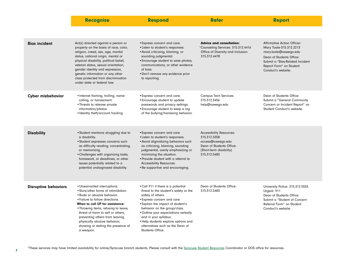|                             | <b>Recognize</b>                                                                                                                                                                                                                                                                                                                                                                       | <b>Respond</b>                                                                                                                                                                                                                                                                                                                                                              | <b>Refer</b>                                                                                                                                | <b>Report</b>                                                                                                                                                                                          |
|-----------------------------|----------------------------------------------------------------------------------------------------------------------------------------------------------------------------------------------------------------------------------------------------------------------------------------------------------------------------------------------------------------------------------------|-----------------------------------------------------------------------------------------------------------------------------------------------------------------------------------------------------------------------------------------------------------------------------------------------------------------------------------------------------------------------------|---------------------------------------------------------------------------------------------------------------------------------------------|--------------------------------------------------------------------------------------------------------------------------------------------------------------------------------------------------------|
|                             |                                                                                                                                                                                                                                                                                                                                                                                        |                                                                                                                                                                                                                                                                                                                                                                             |                                                                                                                                             |                                                                                                                                                                                                        |
| <b>Bias incident</b>        | Act(s) directed against a person or<br>property on the basis of race, color,<br>religion, creed, sex, age, marital<br>status, national origin, mental or<br>physical disability, political belief,<br>veteran status, sexual orientation,<br>gender identity and expression,<br>genetic information or any other<br>class protected from discrimination<br>under state or federal law. | • Express concern and care.<br>• Listen to student's responses.<br>• Avoid criticizing, blaming, or<br>sounding judgmental.<br>• Encourage student to save photos,<br>communications, or other evidence<br>of bias.<br>• Don't remove any evidence prior<br>to reporting.                                                                                                   | <b>Advice and consultation:</b><br>*Counseling Services: 315.312.4416<br>Office of Diversity and Inclusion:<br>315.312.4478                 | <b>Affirmative Action Officer:</b><br>Mary Toale-315.312.2213<br>mary.toale@oswego.edu<br>Dean of Students Office:<br>Submit a "Bias-Related Incident<br>Report Form" on Student<br>Conduct's website. |
| <b>Cyber misbehavior</b>    | • Internet flaming, trolling, name-<br>calling, or harassment.<br>• Threats to release private<br>information/photos.<br>• Identity theft/account hacking.                                                                                                                                                                                                                             | • Express concern and care.<br>• Encourage student to update<br>passwords and privacy settings.<br>• Encourage student to keep a log<br>of the bullying/harassing behavior.                                                                                                                                                                                                 | <b>Campus Tech Services:</b><br>315.312.3456<br>help@oswego.edu                                                                             | Dean of Students Office:<br>Submit a "General Community<br>Concern or Incident Report" on<br>Student Conduct's website.                                                                                |
| <b>Disability</b>           | • Student mentions struggling due to<br>a disability.<br>• Student expresses concerns such<br>as difficulty reading, concentrating,<br>or memorizing.<br>• Challenges with organizing tasks,<br>homework, or deadlines; or other<br>issues potentially related to a<br>potential undiagnosed disability.                                                                               | • Express concern and care.<br>• Listen to student's responses.<br>• Avoid stigmatizing behaviors such<br>as criticizing, blaming, sounding<br>judgmental, overly emphasizing or<br>minimizing the situation.<br>• Provide student with a referral to<br>Accessibility Resources.<br>• Be supportive and encouraging.                                                       | <b>Accessibility Resources:</b><br>315.312.3358<br>access@oswego.edu<br>Dean of Students Office:<br>(Short-term disability)<br>315.312.5483 |                                                                                                                                                                                                        |
| <b>Disruptive behaviors</b> | • Unwarranted interruptions.<br>· Slurs/other forms of intimidation.<br>• Rude or abusive behavior.<br>• Failure to follow directions.<br>When to call UP for assistance:<br>• Throwing items, refusing to leave,<br>threat of harm to self or others,<br>preventing others from leaving,<br>physically abusive behavior,<br>showing or stating the presence of<br>a weapon.           | • Call 911 if there is a potential<br>threat to the student's safety or the<br>safety of others.<br>• Express concern and care.<br>• Explain the impact of student's<br>behavior on the group/class.<br>. Outline your expectations verbally<br>and in your syllabus.<br>• Help students explore options and<br>alternatives such as the Dean of<br><b>Students Office.</b> | Dean of Students Office:<br>315.312.5483                                                                                                    | University Police: 315.312.5555<br>Urgent: 911<br>Dean of Students Office:<br>Submit a "Student of Concern<br>Referral Form" on Student<br>Conduct's website.                                          |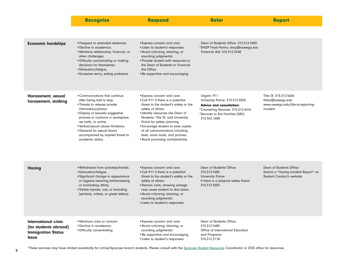|                                                                                                   | <b>Recognize</b>                                                                                                                                                                                                                                                                                                                                  | <b>Respond</b>                                                                                                                                                                                                                                                                                                                                                                               | <b>Refer</b>                                                                                                                                                                | <b>Report</b>                                                                                  |
|---------------------------------------------------------------------------------------------------|---------------------------------------------------------------------------------------------------------------------------------------------------------------------------------------------------------------------------------------------------------------------------------------------------------------------------------------------------|----------------------------------------------------------------------------------------------------------------------------------------------------------------------------------------------------------------------------------------------------------------------------------------------------------------------------------------------------------------------------------------------|-----------------------------------------------------------------------------------------------------------------------------------------------------------------------------|------------------------------------------------------------------------------------------------|
|                                                                                                   |                                                                                                                                                                                                                                                                                                                                                   |                                                                                                                                                                                                                                                                                                                                                                                              |                                                                                                                                                                             |                                                                                                |
| <b>Economic hardships</b>                                                                         | • Frequent or extended absences.<br>• Decline in academics.<br>· Mentions relationship, financial, or<br>other challenges.<br>• Difficulty concentrating or making<br>decisions for themselves.<br>• Exhaustion/fatigue.<br>• Excessive worry, eating problems.                                                                                   | • Express concern and care.<br>• Listen to student's responses.<br>• Avoid criticizing, blaming, or<br>sounding judgmental.<br>• Provide student with resources to<br>the Dean of Students or Financial<br>Aid Office.<br>• Be supportive and encouraging.                                                                                                                                   | Dean of Students Office: 315.312.5483<br>*SHOP Food Pantry: shop@oswego.edu<br>Financial Aid: 315.312.2248                                                                  |                                                                                                |
| Harassment, sexual<br>harassment, stalking                                                        | • Communications that continue<br>after being told to stop.<br>• Threats to release private<br>information/photos.<br>• Display of sexually suggestive<br>pictures or cartoons in workspace,<br>res halls, or online.<br>• Verbal/sexual abuse flirtations.<br>• Demand for sexual favors<br>accompanied by implied threat to<br>academic status. | • Express concern and care.<br>•Call 911 if there is a potential<br>threat to the student's safety or the<br>safety of others.<br>· Identify resources like Dean of<br>Students, Title IX, and University<br>Police for safety planning.<br>• Encourage student to save copies<br>of all communications including<br>texts, voice mails, and pictures.<br>• Avoid promising confidentiality. | Urgent: 911<br>University Police: 315.312.5555<br><b>Advice and consultation:</b><br>*Counseling Services: 315.312.4416<br>*Services to Aid Families (SAF):<br>315.342.1600 | Title IX: 315.312.5604<br>titleix@oswego.edu<br>www.oswego.edu/title-ix/reporting-<br>incident |
| Hazing                                                                                            | . Withdrawal from activities/friends.<br>• Exhaustion/fatigue.<br>• Significant change in appearance<br>or hygiene (wearing embarrassing<br>or humiliating attire).<br>• Visible injuries, cuts, or branding<br>(symbols, initials, or greek letters).                                                                                            | • Express concern and care.<br>• Call 911 if there is a potential<br>threat to the student's safety or the<br>safety of others.<br>• Remain calm, showing outrage<br>may cause student to shut down.<br>• Avoid criticizing, blaming, or<br>sounding judgmental.<br>• Listen to student's responses.                                                                                         | Dean of Students Office:<br>315.312.5483<br><b>University Police:</b><br>If there is a physical safety threat<br>315.312.5555                                               | Dean of Students Office:<br>Submit a "Hazing Incident Report" on<br>Student Conduct's website. |
| <b>International crisis</b><br>(for students abroad)<br><b>Immigration Status</b><br><b>Issue</b> | • Mentions crisis or concern.<br>• Decline in academics.<br>• Difficulty concentrating.                                                                                                                                                                                                                                                           | · Express concern and care.<br>• Avoid criticizing, blaming, or<br>sounding judgmental.<br>• Be supportive and encouraging.<br>• Listen to student's responses.                                                                                                                                                                                                                              | Dean of Students Office:<br>315.312.5483<br>Office of International Education<br>and Programs:<br>315.312.2118                                                              |                                                                                                |

\*These services may have limited availability for online/Syracuse branch students. Please consult with the [Syracuse Student Resources](https://ww1.oswego.edu/syracuse/syracuse-campus/student-services) Coordinator or DOS office for resources.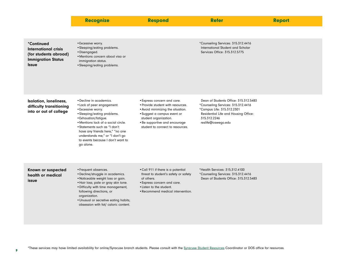|                                                                                                   | <b>Recognize</b>                                                                                                                                                                                                                                                                                                                    | <b>Respond</b>                                                                                                                                                                                                                     | <b>Refer</b>                                                                                                                                                                            | <b>Report</b> |
|---------------------------------------------------------------------------------------------------|-------------------------------------------------------------------------------------------------------------------------------------------------------------------------------------------------------------------------------------------------------------------------------------------------------------------------------------|------------------------------------------------------------------------------------------------------------------------------------------------------------------------------------------------------------------------------------|-----------------------------------------------------------------------------------------------------------------------------------------------------------------------------------------|---------------|
|                                                                                                   |                                                                                                                                                                                                                                                                                                                                     |                                                                                                                                                                                                                                    |                                                                                                                                                                                         |               |
| *Continued<br>International crisis<br>(for students abroad)<br><b>Immigration Status</b><br>Issue | • Excessive worry.<br>• Sleeping/eating problems.<br>· Disengaged.<br>· Mentions concern about visa or<br>immigration status.<br>• Sleeping/eating problems.                                                                                                                                                                        |                                                                                                                                                                                                                                    | *Counseling Services: 315.312.4416<br>International Student and Scholar<br>Services Office: 315.312.5775                                                                                |               |
| <b>Isolation, loneliness,</b><br>difficulty transitioning<br>into or out of college               | • Decline in academics.<br>• Lack of peer engagement.<br>• Excessive worry.<br>• Sleeping/eating problems.<br>• Exhaustion/fatigue.<br>· Mentions lack of a social circle.<br>• Statements such as "I don't<br>have any friends here," "no one<br>understands me," or "I don't go<br>to events because I don't want to<br>go alone. | · Express concern and care.<br>. Provide student with resources.<br>. Avoid minimizing the situation.<br>• Suggest a campus event or<br>student organization.<br>• Be supportive and encourage<br>student to connect to resources. | Dean of Students Office: 315.312.5483<br>*Counseling Services: 315.312.4416<br>*Campus Life: 315.312.2301<br>Residential Life and Housing Office:<br>315.312.2246<br>reslife@oswego.edu |               |
| Known or suspected<br>health or medical<br>issue                                                  | • Frequent absences.<br>· Decline/struggle in academics.<br>• Noticeable weight loss or gain.<br>• Hair loss; pale or gray skin tone.<br>· Difficulty with time management,<br>following directions, or<br>organization.<br>. Unusual or secretive eating habits;<br>obsession with fat/ caloric content.                           | . Call 911 if there is a potential<br>threat to student's safety or safety<br>of others.<br>• Express concern and care.<br>• Listen to the student.<br>• Recommend medical intervention.                                           | *Health Services: 315.312.4100<br>*Counseling Services: 315.312.4416<br>Dean of Students Office: 315.312.5483                                                                           |               |

\*These services may have limited availability for online/Syracuse branch students. Please consult with the [Syracuse Student Resources](https://ww1.oswego.edu/syracuse/syracuse-campus/student-services) Coordinator or DOS office for resources.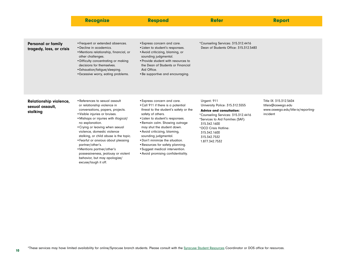|                                                       | <b>Recognize</b>                                                                                                                                                                                                                                                                                                                                                                                                                                                                                    | <b>Respond</b>                                                                                                                                                                                                                                                                                                                                                                                                                               | <b>Refer</b>                                                                                                                                                                                                                                          | <b>Report</b>                                                                                  |
|-------------------------------------------------------|-----------------------------------------------------------------------------------------------------------------------------------------------------------------------------------------------------------------------------------------------------------------------------------------------------------------------------------------------------------------------------------------------------------------------------------------------------------------------------------------------------|----------------------------------------------------------------------------------------------------------------------------------------------------------------------------------------------------------------------------------------------------------------------------------------------------------------------------------------------------------------------------------------------------------------------------------------------|-------------------------------------------------------------------------------------------------------------------------------------------------------------------------------------------------------------------------------------------------------|------------------------------------------------------------------------------------------------|
|                                                       |                                                                                                                                                                                                                                                                                                                                                                                                                                                                                                     |                                                                                                                                                                                                                                                                                                                                                                                                                                              |                                                                                                                                                                                                                                                       |                                                                                                |
| <b>Personal or family</b><br>tragedy, loss, or crisis | • Frequent or extended absences.<br>• Decline in academics.<br>• Mentions relationship, financial, or<br>other challenges.<br>• Difficulty concentrating or making<br>decisions for themselves.<br>• Exhaustion/fatigue/sleeping.<br>• Excessive worry, eating problems.                                                                                                                                                                                                                            | • Express concern and care.<br>• Listen to student's responses.<br>• Avoid criticizing, blaming, or<br>sounding judgmental.<br>• Provide student with resources to<br>the Dean of Students or Financial<br>Aid Office.<br>• Be supportive and encouraging.                                                                                                                                                                                   | *Counseling Services: 315.312.4416<br>Dean of Students Office: 315.312.5483                                                                                                                                                                           |                                                                                                |
| Relationship violence,<br>sexual assault.<br>stalking | • References to sexual assault<br>or relationship violence in<br>conversations, papers, projects.<br>• Visible injuries or bruises.<br>• Mishaps or injuries with illogical/<br>no explanation.<br>• Crying or leaving when sexual<br>violence, domestic violence<br>stalking, or child abuse is the topic.<br>• Fearful or anxious about pleasing<br>partner/other's.<br>• Mentions partner/other's<br>possessiveness, jealousy or violent<br>behavior, but may apologize/<br>excuse/laugh it off. | • Express concern and care.<br>• Call 911 if there is a potential<br>threat to the student's safety or the<br>safety of others.<br>• Listen to student's responses.<br>• Remain calm. Showing outrage<br>may shut the student down.<br>• Avoid criticizing, blaming,<br>sounding judgmental.<br>. Don't minimize the situation.<br>• Resources for safety planning.<br>• Suggest medical intervention.<br>• Avoid promising confidentiality. | Urgent: 911<br>University Police: 315.312.5555<br><b>Advice and consultation:</b><br>*Counseling Services: 315.312.4416<br>*Services to Aid Families (SAF):<br>315.342.1600<br>*OCO Crisis Hotline:<br>315.342.1600<br>315.342.7532<br>1.877.342.7532 | Title IX: 315.312.5604<br>titleix@oswego.edu<br>www.oswego.edu/title-ix/reporting-<br>incident |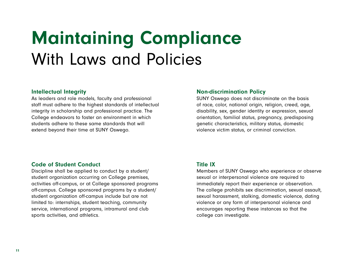## <span id="page-10-0"></span>Maintaining Compliance With Laws and Policies

#### Intellectual Integrity

As leaders and role models, faculty and professional staff must adhere to the highest standards of intellectual integrity in scholarship and professional practice. The College endeavors to foster an environment in which students adhere to these same standards that will extend beyond their time at SUNY Oswego.

#### Non-discrimination Policy

SUNY Oswego does not discriminate on the basis of race, color, national origin, religion, creed, age, disability, sex, gender identity or expression, sexual orientation, familial status, pregnancy, predisposing genetic characteristics, military status, domestic violence victim status, or criminal conviction.

#### Code of Student Conduct

Discipline shall be applied to conduct by a student/ student organization occurring on College premises, activities off-campus, or at College sponsored programs off-campus. College sponsored programs by a student/ student organization off-campus include but are not limited to: internships, student teaching, community service, international programs, intramural and club sports activities, and athletics.

#### Title IX

Members of SUNY Oswego who experience or observe sexual or interpersonal violence are required to immediately report their experience or observation. The college prohibits sex discrimination, sexual assault, sexual harassment, stalking, domestic violence, dating violence or any form of interpersonal violence and encourages reporting these instances so that the college can investigate.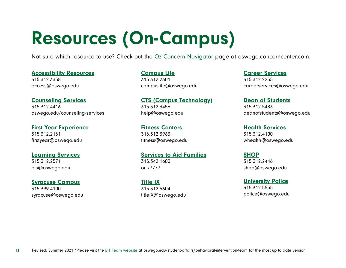# <span id="page-11-0"></span>Resources (On-Campus)

Not sure which resource to use? Check out the [Oz Concern Navigator](http://oswego.concerncenter.com) page at oswego.concerncenter.com.

#### [Accessibility Resources](https://www.oswego.edu/accessibility-resources/) 315.312.3358

access@oswego.edu

#### [Counseling Services](https://www.oswego.edu/counseling-services/)

315.312.4416 oswego.edu/counseling-services

#### [First Year Experience](https://www.oswego.edu/first-year/)

315.312.2151 firstyear@oswego.edu

#### [Learning Services](https://www.oswego.edu/ols/home)

315.312.2571 ols@oswego.edu

#### [Syracuse Campus](https://www.oswego.edu/syracuse/syracuse-campus) 315.399.4100

syracuse@oswego.edu

#### [Campus Life](https://www.oswego.edu/campus-life/) 315.312.2301 campuslife@oswego.edu

[CTS \(Campus Technology\)](https://www.oswego.edu/cts/campus-technology-services-0) 315.312.3456 help@oswego.edu

#### [Fitness Centers](https://www.oswego.edu/fitness-centers/fitness-centers-0) 315.312.3963 fitness@oswego.edu

#### [Services to Aid Families](https://www.oswego.edu/title-ix/services-aid-families) 315.342.1600 or x7777

[Title IX](https://ww1.oswego.edu/title-ix/) 315.312.5604 titleIX@oswego.edu

#### [Career Services](https://www.oswego.edu/career-services/) 315.312.2255 careerservices@oswego.edu

#### [Dean of Students](https://www.oswego.edu/student-affairs/dean-students-0) 315.312.5483 deanofstudents@oswego.edu

#### [Health Services](https://www.oswego.edu/walker-health-center/) 315.312.4100

whealth@oswego.edu

#### **[SHOP](https://www.oswego.edu/student-affairs/students-helping-oz-peers-shop)**

315.312.2446 shop@oswego.edu

#### [University Police](https://www.oswego.edu/police/new-york-state-university-police)

315.312.5555 police@oswego.edu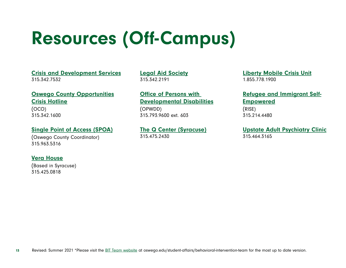# Resources (Off-Campus)

[Crisis and Development Services](https://www.oco.org/crisis-development) 315.342.7532

[Oswego County Opportunities](https://www.oco.org/) [Crisis Hotline](https://www.oco.org/) (OCO)

315.342.1600

#### [Single Point of Access \(SPOA\)](https://www.oswegocounty.com/departments/human_services/mental_hygiene/adults.php)

(Oswego County Coordinator) 315.963.5316

#### [Vera House](https://www.verahouse.org/)

(Based in Syracuse) 315.425.0818

[Legal Aid Society](https://www.lasmny.org/) 315.342.2191

[Office of Persons with](https://opwdd.ny.gov/)  [Developmental Disabilities](https://opwdd.ny.gov/) (OPWDD) 315.793.9600 ext. 603

[The Q Center \(Syracuse\)](https://www.acrhealth.org/youth-programs/q-centers/) 315.475.2430

[Liberty Mobile Crisis Unit](https://www.liberty-resources.org/mobile-outreach-residential-respite-services/) 1.855.778.1900

[Refugee and Immigrant Self-](https://www.syracuserise.org/)[Empowered](https://www.syracuserise.org/)

(RISE) 315.214.4480

[Upstate Adult Psychiatry Clinic](https://www.upstate.edu/psych/healthcare/adult-psych/adult_psych/index.php) 315.464.3165